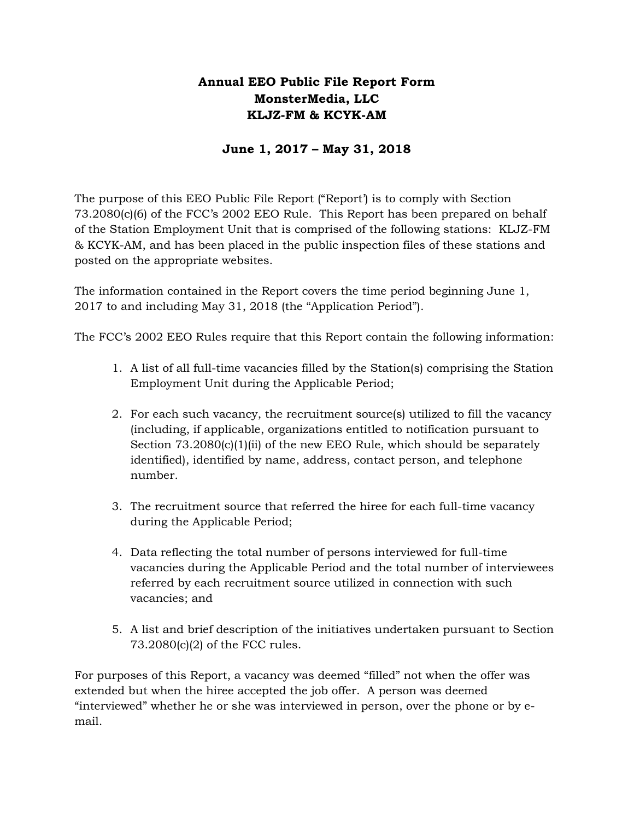### **Annual EEO Public File Report Form MonsterMedia, LLC KLJZ-FM & KCYK-AM**

### **June 1, 2017 – May 31, 2018**

The purpose of this EEO Public File Report ("Report') is to comply with Section 73.2080(c)(6) of the FCC's 2002 EEO Rule. This Report has been prepared on behalf of the Station Employment Unit that is comprised of the following stations: KLJZ-FM & KCYK-AM, and has been placed in the public inspection files of these stations and posted on the appropriate websites.

The information contained in the Report covers the time period beginning June 1, 2017 to and including May 31, 2018 (the "Application Period").

The FCC's 2002 EEO Rules require that this Report contain the following information:

- 1. A list of all full-time vacancies filled by the Station(s) comprising the Station Employment Unit during the Applicable Period;
- 2. For each such vacancy, the recruitment source(s) utilized to fill the vacancy (including, if applicable, organizations entitled to notification pursuant to Section  $73.2080(c)(1)(ii)$  of the new EEO Rule, which should be separately identified), identified by name, address, contact person, and telephone number.
- 3. The recruitment source that referred the hiree for each full-time vacancy during the Applicable Period;
- 4. Data reflecting the total number of persons interviewed for full-time vacancies during the Applicable Period and the total number of interviewees referred by each recruitment source utilized in connection with such vacancies; and
- 5. A list and brief description of the initiatives undertaken pursuant to Section 73.2080(c)(2) of the FCC rules.

For purposes of this Report, a vacancy was deemed "filled" not when the offer was extended but when the hiree accepted the job offer. A person was deemed "interviewed" whether he or she was interviewed in person, over the phone or by email.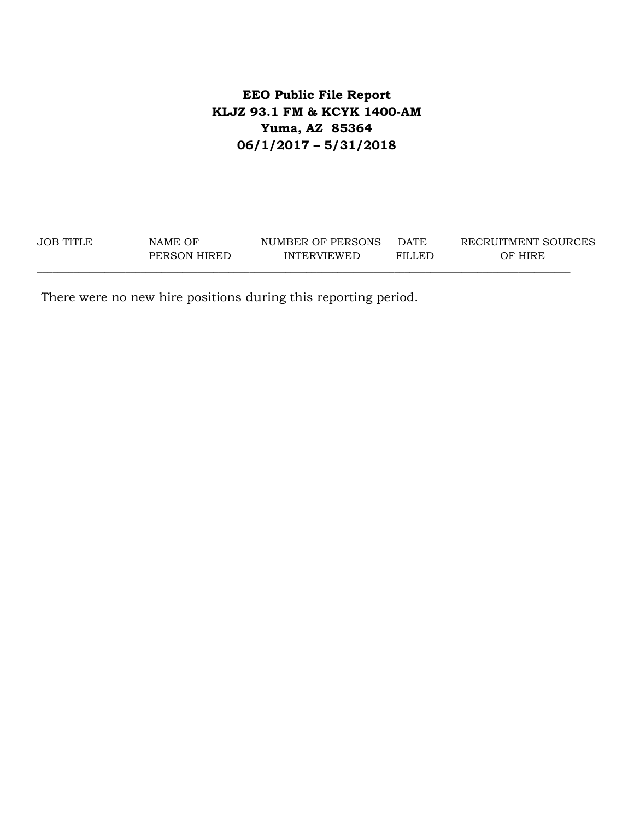## **EEO Public File Report KLJZ 93.1 FM & KCYK 1400-AM Yuma, AZ 85364 06/1/2017 – 5/31/2018**

JOB TITLE NAME OF NUMBER OF PERSONS DATE RECRUITMENT SOURCES PERSON HIRED INTERVIEWED FILLED OF HIRE \_\_\_\_\_\_\_\_\_\_\_\_\_\_\_\_\_\_\_\_\_\_\_\_\_\_\_\_\_\_\_\_\_\_\_\_\_\_\_\_\_\_\_\_\_\_\_\_\_\_\_\_\_\_\_\_\_\_\_\_\_\_\_\_\_\_\_\_\_\_\_\_\_\_\_\_\_\_\_\_\_\_\_\_\_\_\_\_\_\_\_\_\_\_\_\_\_\_\_\_\_\_\_

There were no new hire positions during this reporting period.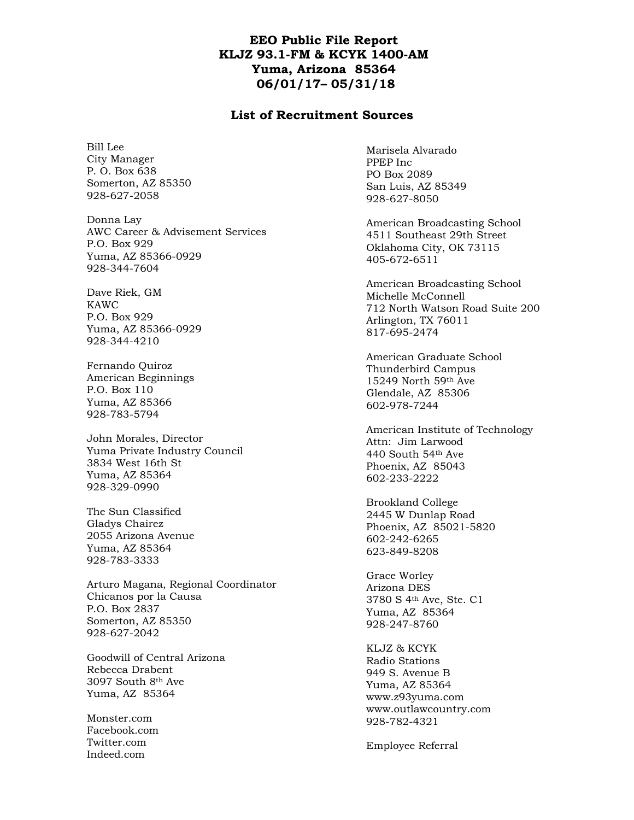### **EEO Public File Report KLJZ 93.1-FM & KCYK 1400-AM Yuma, Arizona 85364 06/01/17– 05/31/18**

#### **List of Recruitment Sources**

Bill Lee City Manager P. O. Box 638 Somerton, AZ 85350 928-627-2058

Donna Lay AWC Career & Advisement Services P.O. Box 929 Yuma, AZ 85366-0929 928-344-7604

Dave Riek, GM KAWC P.O. Box 929 Yuma, AZ 85366-0929 928-344-4210

Fernando Quiroz American Beginnings P.O. Box 110 Yuma, AZ 85366 928-783-5794

John Morales, Director Yuma Private Industry Council 3834 West 16th St Yuma, AZ 85364 928-329-0990

The Sun Classified Gladys Chairez 2055 Arizona Avenue Yuma, AZ 85364 928-783-3333

Arturo Magana, Regional Coordinator Chicanos por la Causa P.O. Box 2837 Somerton, AZ 85350 928-627-2042

Goodwill of Central Arizona Rebecca Drabent 3097 South 8th Ave Yuma, AZ 85364

Monster.com Facebook.com Twitter.com Indeed.com

Marisela Alvarado PPEP Inc PO Box 2089 San Luis, AZ 85349 928-627-8050

American Broadcasting School 4511 Southeast 29th Street Oklahoma City, OK 73115 405-672-6511

American Broadcasting School Michelle McConnell 712 North Watson Road Suite 200 Arlington, TX 76011 817-695-2474

American Graduate School Thunderbird Campus 15249 North 59th Ave Glendale, AZ 85306 602-978-7244

American Institute of Technology Attn: Jim Larwood 440 South 54th Ave Phoenix, AZ 85043 602-233-2222

Brookland College 2445 W Dunlap Road Phoenix, AZ 85021-5820 602-242-6265 623-849-8208

Grace Worley Arizona DES 3780 S 4th Ave, Ste. C1 Yuma, AZ 85364 928-247-8760

KLJZ & KCYK Radio Stations 949 S. Avenue B Yuma, AZ 85364 www.z93yuma.com www.outlawcountry.com 928-782-4321

Employee Referral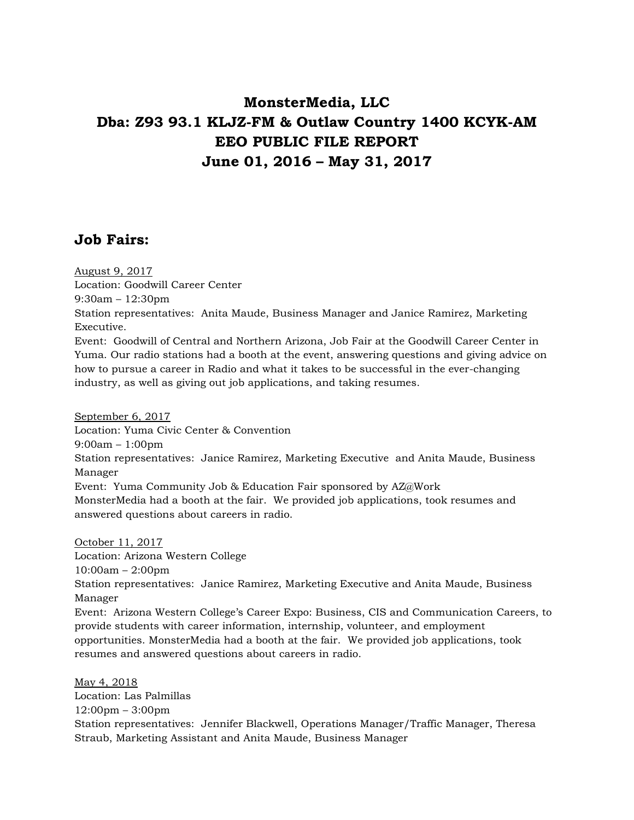## **MonsterMedia, LLC Dba: Z93 93.1 KLJZ-FM & Outlaw Country 1400 KCYK-AM EEO PUBLIC FILE REPORT June 01, 2016 – May 31, 2017**

## **Job Fairs:**

August 9, 2017

Location: Goodwill Career Center

9:30am – 12:30pm

Station representatives: Anita Maude, Business Manager and Janice Ramirez, Marketing Executive.

Event: Goodwill of Central and Northern Arizona, Job Fair at the Goodwill Career Center in Yuma. Our radio stations had a booth at the event, answering questions and giving advice on how to pursue a career in Radio and what it takes to be successful in the ever-changing industry, as well as giving out job applications, and taking resumes.

September 6, 2017 Location: Yuma Civic Center & Convention 9:00am – 1:00pm Station representatives: Janice Ramirez, Marketing Executive and Anita Maude, Business Manager Event: Yuma Community Job & Education Fair sponsored by AZ@Work MonsterMedia had a booth at the fair. We provided job applications, took resumes and answered questions about careers in radio.

October 11, 2017 Location: Arizona Western College 10:00am – 2:00pm Station representatives: Janice Ramirez, Marketing Executive and Anita Maude, Business Manager Event: Arizona Western College's Career Expo: Business, CIS and Communication Careers, to provide students with career information, internship, volunteer, and employment opportunities. MonsterMedia had a booth at the fair. We provided job applications, took resumes and answered questions about careers in radio.

May 4, 2018 Location: Las Palmillas 12:00pm – 3:00pm Station representatives: Jennifer Blackwell, Operations Manager/Traffic Manager, Theresa Straub, Marketing Assistant and Anita Maude, Business Manager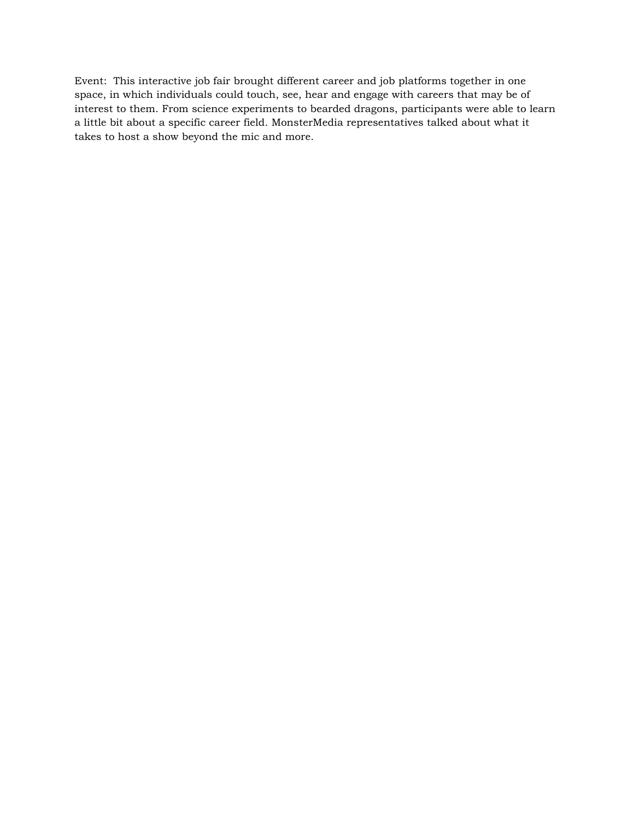Event: This interactive job fair brought different career and job platforms together in one space, in which individuals could touch, see, hear and engage with careers that may be of interest to them. From science experiments to bearded dragons, participants were able to learn a little bit about a specific career field. MonsterMedia representatives talked about what it takes to host a show beyond the mic and more.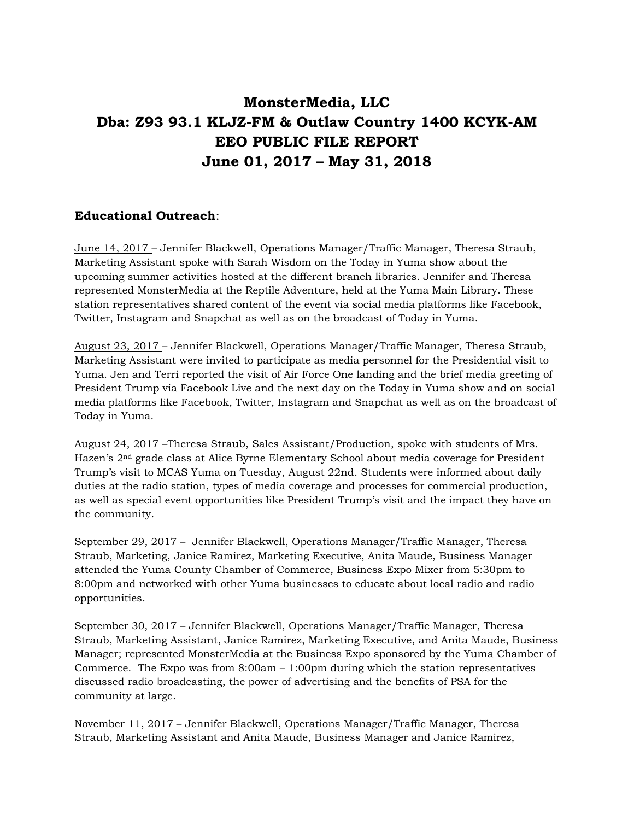## **MonsterMedia, LLC Dba: Z93 93.1 KLJZ-FM & Outlaw Country 1400 KCYK-AM EEO PUBLIC FILE REPORT June 01, 2017 – May 31, 2018**

### **Educational Outreach**:

June 14, 2017 – Jennifer Blackwell, Operations Manager/Traffic Manager, Theresa Straub, Marketing Assistant spoke with Sarah Wisdom on the Today in Yuma show about the upcoming summer activities hosted at the different branch libraries. Jennifer and Theresa represented MonsterMedia at the Reptile Adventure, held at the Yuma Main Library. These station representatives shared content of the event via social media platforms like Facebook, Twitter, Instagram and Snapchat as well as on the broadcast of Today in Yuma.

August 23, 2017 – Jennifer Blackwell, Operations Manager/Traffic Manager, Theresa Straub, Marketing Assistant were invited to participate as media personnel for the Presidential visit to Yuma. Jen and Terri reported the visit of Air Force One landing and the brief media greeting of President Trump via Facebook Live and the next day on the Today in Yuma show and on social media platforms like Facebook, Twitter, Instagram and Snapchat as well as on the broadcast of Today in Yuma.

August 24, 2017 –Theresa Straub, Sales Assistant/Production, spoke with students of Mrs. Hazen's 2nd grade class at Alice Byrne Elementary School about media coverage for President Trump's visit to MCAS Yuma on Tuesday, August 22nd. Students were informed about daily duties at the radio station, types of media coverage and processes for commercial production, as well as special event opportunities like President Trump's visit and the impact they have on the community.

September 29, 2017 – Jennifer Blackwell, Operations Manager/Traffic Manager, Theresa Straub, Marketing, Janice Ramirez, Marketing Executive, Anita Maude, Business Manager attended the Yuma County Chamber of Commerce, Business Expo Mixer from 5:30pm to 8:00pm and networked with other Yuma businesses to educate about local radio and radio opportunities.

September 30, 2017 – Jennifer Blackwell, Operations Manager/Traffic Manager, Theresa Straub, Marketing Assistant, Janice Ramirez, Marketing Executive, and Anita Maude, Business Manager; represented MonsterMedia at the Business Expo sponsored by the Yuma Chamber of Commerce. The Expo was from  $8:00$ am  $-1:00$ pm during which the station representatives discussed radio broadcasting, the power of advertising and the benefits of PSA for the community at large.

November 11, 2017 – Jennifer Blackwell, Operations Manager/Traffic Manager, Theresa Straub, Marketing Assistant and Anita Maude, Business Manager and Janice Ramirez,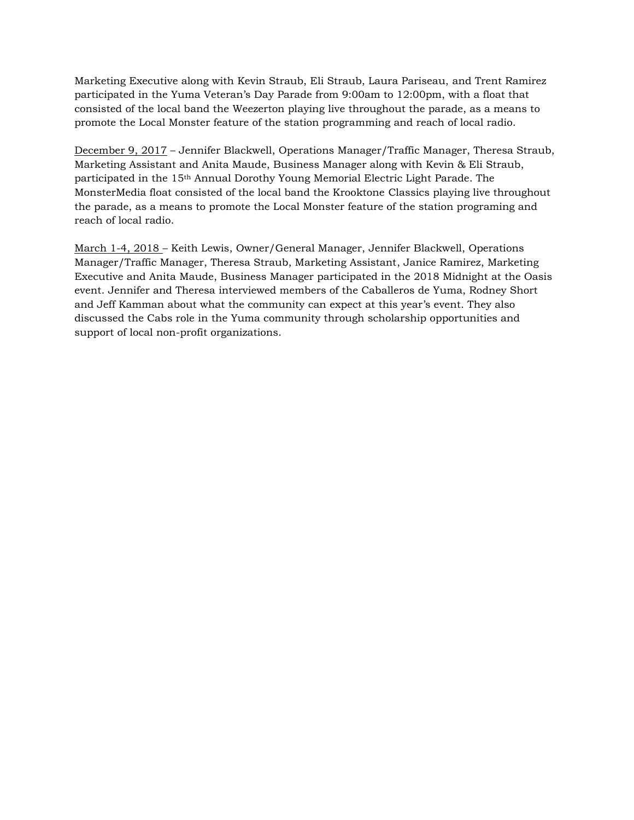Marketing Executive along with Kevin Straub, Eli Straub, Laura Pariseau, and Trent Ramirez participated in the Yuma Veteran's Day Parade from 9:00am to 12:00pm, with a float that consisted of the local band the Weezerton playing live throughout the parade, as a means to promote the Local Monster feature of the station programming and reach of local radio.

December 9, 2017 – Jennifer Blackwell, Operations Manager/Traffic Manager, Theresa Straub, Marketing Assistant and Anita Maude, Business Manager along with Kevin & Eli Straub, participated in the 15th Annual Dorothy Young Memorial Electric Light Parade. The MonsterMedia float consisted of the local band the Krooktone Classics playing live throughout the parade, as a means to promote the Local Monster feature of the station programing and reach of local radio.

March 1-4, 2018 – Keith Lewis, Owner/General Manager, Jennifer Blackwell, Operations Manager/Traffic Manager, Theresa Straub, Marketing Assistant, Janice Ramirez, Marketing Executive and Anita Maude, Business Manager participated in the 2018 Midnight at the Oasis event. Jennifer and Theresa interviewed members of the Caballeros de Yuma, Rodney Short and Jeff Kamman about what the community can expect at this year's event. They also discussed the Cabs role in the Yuma community through scholarship opportunities and support of local non-profit organizations.